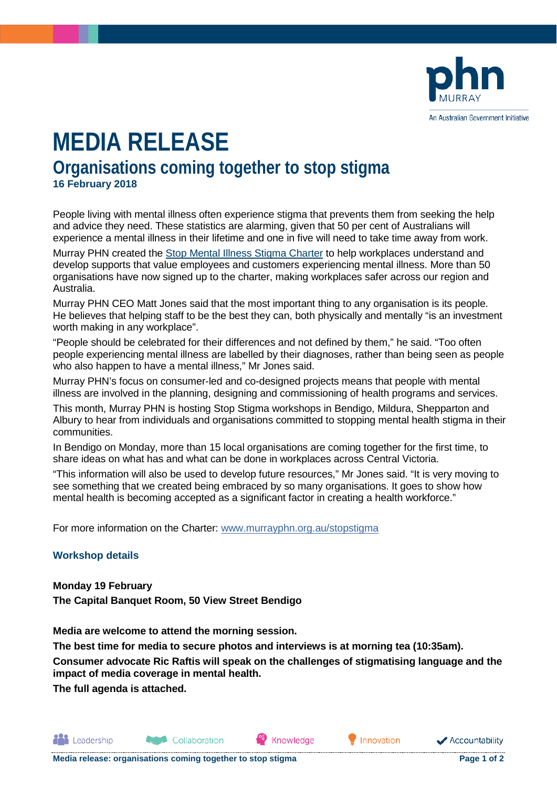

# **MEDIA RELEASE Organisations coming together to stop stigma 16 February 2018**

People living with mental illness often experience stigma that prevents them from seeking the help and advice they need. These statistics are alarming, given that 50 per cent of Australians will experience a mental illness in their lifetime and one in five will need to take time away from work.

Murray PHN created the [Stop Mental Illness Stigma Charter](http://www.murrayphn.org.au/stopstigma) to help workplaces understand and develop supports that value employees and customers experiencing mental illness. More than 50 organisations have now signed up to the charter, making workplaces safer across our region and Australia.

Murray PHN CEO Matt Jones said that the most important thing to any organisation is its people. He believes that helping staff to be the best they can, both physically and mentally "is an investment worth making in any workplace".

"People should be celebrated for their differences and not defined by them," he said. "Too often people experiencing mental illness are labelled by their diagnoses, rather than being seen as people who also happen to have a mental illness," Mr Jones said.

Murray PHN's focus on consumer-led and co-designed projects means that people with mental illness are involved in the planning, designing and commissioning of health programs and services.

This month, Murray PHN is hosting Stop Stigma workshops in Bendigo, Mildura, Shepparton and Albury to hear from individuals and organisations committed to stopping mental health stigma in their communities.

In Bendigo on Monday, more than 15 local organisations are coming together for the first time, to share ideas on what has and what can be done in workplaces across Central Victoria.

"This information will also be used to develop future resources," Mr Jones said. "It is very moving to see something that we created being embraced by so many organisations. It goes to show how mental health is becoming accepted as a significant factor in creating a health workforce."

For more information on the Charter: [www.murrayphn.org.au/stopstigma](http://www.murrayphn.org.au/stopstigma)

#### **Workshop details**

**Monday 19 February The Capital Banquet Room, 50 View Street Bendigo**

**Media are welcome to attend the morning session.**

**The best time for media to secure photos and interviews is at morning tea (10:35am).**

**Consumer advocate Ric Raftis will speak on the challenges of stigmatising language and the impact of media coverage in mental health.**

Knowledge

**The full agenda is attached.**

**All** Leadership

Collaboration